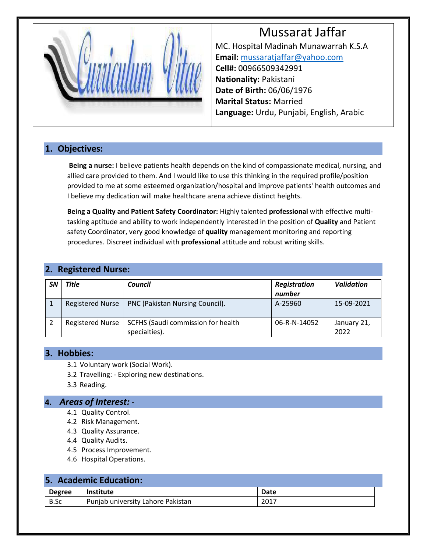# Mussarat Jaffar



MC. Hospital Madinah Munawarrah K.S.A **Email:** [mussaratjaffar@yahoo.com](mailto:mussaratjaffar@yahoo.com) **Cell#:** 00966509342991 **Nationality:** Pakistani **Date of Birth:** 06/06/1976 **Marital Status:** Married **Language:** Urdu, Punjabi, English, Arabic

#### **1. Objectives:**

**Being a nurse:** I believe patients health depends on the kind of compassionate medical, nursing, and allied care provided to them. And I would like to use this thinking in the required profile/position provided to me at some esteemed organization/hospital and improve patients' health outcomes and I believe my dedication will make healthcare arena achieve distinct heights.

**Being a Quality and Patient Safety Coordinator:** Highly talented **professional** with effective multitasking aptitude and ability to work independently interested in the position of **Quality** and Patient safety Coordinator, very good knowledge of **quality** management monitoring and reporting procedures. Discreet individual with **professional** attitude and robust writing skills.

| 2. Registered Nurse: |
|----------------------|
|----------------------|

| <b>SN</b> | Title                   | Council                                             | Registration<br>number | <b>Validation</b>   |
|-----------|-------------------------|-----------------------------------------------------|------------------------|---------------------|
|           | <b>Registered Nurse</b> | PNC (Pakistan Nursing Council).                     | A-25960                | 15-09-2021          |
|           | <b>Registered Nurse</b> | SCFHS (Saudi commission for health<br>specialties). | 06-R-N-14052           | January 21,<br>2022 |

#### **3. Hobbies:**

- 3.1 Voluntary work (Social Work).
- 3.2 Travelling: Exploring new destinations.
- 3.3 Reading.

#### **4.** *Areas of Interest: -*

- 4.1 Quality Control.
- 4.2 Risk Management.
- 4.3 Quality Assurance.
- 4.4 Quality Audits.
- 4.5 Process Improvement.
- 4.6 Hospital Operations.

#### **5. Academic Education:**

| <b>Degree</b> | <b>Institute</b>                  | Date |  |  |  |
|---------------|-----------------------------------|------|--|--|--|
| B.Sc          | Punjab university Lahore Pakistan | 2017 |  |  |  |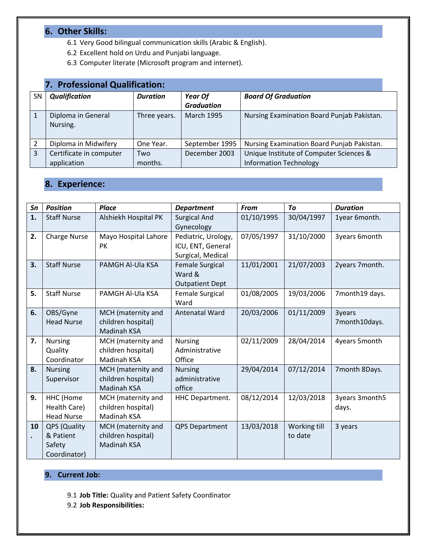### **6. Other Skills:**

- 6.1 Very Good bilingual communication skills (Arabic & English).
- 6.2 Excellent hold on Urdu and Punjabi language.
- 6.3 Computer literate (Microsoft program and internet).

|           | 7. Professional Qualification: |                 |                              |                                            |  |  |  |
|-----------|--------------------------------|-----------------|------------------------------|--------------------------------------------|--|--|--|
| <b>SN</b> | <b>Qualification</b>           | <b>Duration</b> | Year Of<br><b>Graduation</b> | <b>Board Of Graduation</b>                 |  |  |  |
|           | Diploma in General<br>Nursing. | Three years.    | <b>March 1995</b>            | Nursing Examination Board Punjab Pakistan. |  |  |  |
|           | Diploma in Midwifery           | One Year.       | September 1995               | Nursing Examination Board Punjab Pakistan. |  |  |  |
| 3         | Certificate in computer        | Two             | December 2003                | Unique Institute of Computer Sciences &    |  |  |  |
|           | application                    | months.         |                              | <b>Information Technology</b>              |  |  |  |

## **8. Experience:**

| Sn              | <b>Position</b>                                     | <b>Place</b>                                                   | <b>Department</b>                                             | <b>From</b> | To                      | <b>Duration</b>         |
|-----------------|-----------------------------------------------------|----------------------------------------------------------------|---------------------------------------------------------------|-------------|-------------------------|-------------------------|
| 1.              | <b>Staff Nurse</b>                                  | Alshiekh Hospital PK                                           | <b>Surgical And</b><br>Gynecology                             | 01/10/1995  | 30/04/1997              | 1year 6month.           |
| 2.              | <b>Charge Nurse</b>                                 | Mayo Hospital Lahore<br><b>PK</b>                              | Pediatric, Urology,<br>ICU, ENT, General<br>Surgical, Medical | 07/05/1997  | 31/10/2000              | 3years 6month           |
| 3.              | <b>Staff Nurse</b>                                  | PAMGH Al-Ula KSA                                               | Female Surgical<br>Ward &<br><b>Outpatient Dept</b>           | 11/01/2001  | 21/07/2003              | 2years 7month.          |
| 5.              | <b>Staff Nurse</b>                                  | PAMGH Al-Ula KSA                                               | Female Surgical<br>Ward                                       | 01/08/2005  | 19/03/2006              | 7month19 days.          |
| 6.              | OBS/Gyne<br><b>Head Nurse</b>                       | MCH (maternity and<br>children hospital)<br><b>Madinah KSA</b> | <b>Antenatal Ward</b>                                         | 20/03/2006  | 01/11/2009              | 3years<br>7month10days. |
| 7.              | <b>Nursing</b><br>Quality<br>Coordinator            | MCH (maternity and<br>children hospital)<br>Madinah KSA        | <b>Nursing</b><br>Administrative<br>Office                    | 02/11/2009  | 28/04/2014              | 4years 5month           |
| 8.              | <b>Nursing</b><br>Supervisor                        | MCH (maternity and<br>children hospital)<br>Madinah KSA        | <b>Nursing</b><br>administrative<br>office                    | 29/04/2014  | 07/12/2014              | 7month 8Days.           |
| 9.              | HHC (Home<br>Health Care)<br><b>Head Nurse</b>      | MCH (maternity and<br>children hospital)<br>Madinah KSA        | <b>HHC Department.</b>                                        | 08/12/2014  | 12/03/2018              | 3years 3month5<br>days. |
| 10<br>$\bullet$ | QPS (Quality<br>& Patient<br>Safety<br>Coordinator) | MCH (maternity and<br>children hospital)<br>Madinah KSA        | <b>QPS Department</b>                                         | 13/03/2018  | Working till<br>to date | 3 years                 |

#### **9. Current Job:**

- 9.1 **Job Title:** Quality and Patient Safety Coordinator
- 9.2 **Job Responsibilities:**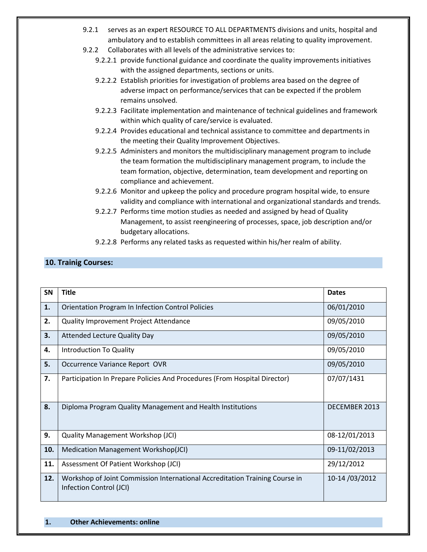- 9.2.1 serves as an expert RESOURCE TO ALL DEPARTMENTS divisions and units, hospital and ambulatory and to establish committees in all areas relating to quality improvement.
- 9.2.2 Collaborates with all levels of the administrative services to:
	- 9.2.2.1 provide functional guidance and coordinate the quality improvements initiatives with the assigned departments, sections or units.
	- 9.2.2.2 Establish priorities for investigation of problems area based on the degree of adverse impact on performance/services that can be expected if the problem remains unsolved.
	- 9.2.2.3 Facilitate implementation and maintenance of technical guidelines and framework within which quality of care/service is evaluated.
	- 9.2.2.4 Provides educational and technical assistance to committee and departments in the meeting their Quality Improvement Objectives.
	- 9.2.2.5 Administers and monitors the multidisciplinary management program to include the team formation the multidisciplinary management program, to include the team formation, objective, determination, team development and reporting on compliance and achievement.
	- 9.2.2.6 Monitor and upkeep the policy and procedure program hospital wide, to ensure validity and compliance with international and organizational standards and trends.
	- 9.2.2.7 Performs time motion studies as needed and assigned by head of Quality Management, to assist reengineering of processes, space, job description and/or budgetary allocations.
	- 9.2.2.8 Performs any related tasks as requested within his/her realm of ability.

#### **10. Trainig Courses:**

| SN  | <b>Title</b>                                                                                           | <b>Dates</b>  |
|-----|--------------------------------------------------------------------------------------------------------|---------------|
| 1.  | <b>Orientation Program In Infection Control Policies</b>                                               | 06/01/2010    |
| 2.  | Quality Improvement Project Attendance                                                                 | 09/05/2010    |
| 3.  | <b>Attended Lecture Quality Day</b>                                                                    | 09/05/2010    |
| 4.  | Introduction To Quality                                                                                | 09/05/2010    |
| 5.  | Occurrence Variance Report OVR                                                                         | 09/05/2010    |
| 7.  | Participation In Prepare Policies And Procedures (From Hospital Director)                              | 07/07/1431    |
| 8.  | Diploma Program Quality Management and Health Institutions                                             | DECEMBER 2013 |
| 9.  | <b>Quality Management Workshop (JCI)</b>                                                               | 08-12/01/2013 |
| 10. | Medication Management Workshop(JCI)                                                                    | 09-11/02/2013 |
| 11. | Assessment Of Patient Workshop (JCI)                                                                   | 29/12/2012    |
| 12. | Workshop of Joint Commission International Accreditation Training Course in<br>Infection Control (JCI) | 10-14/03/2012 |